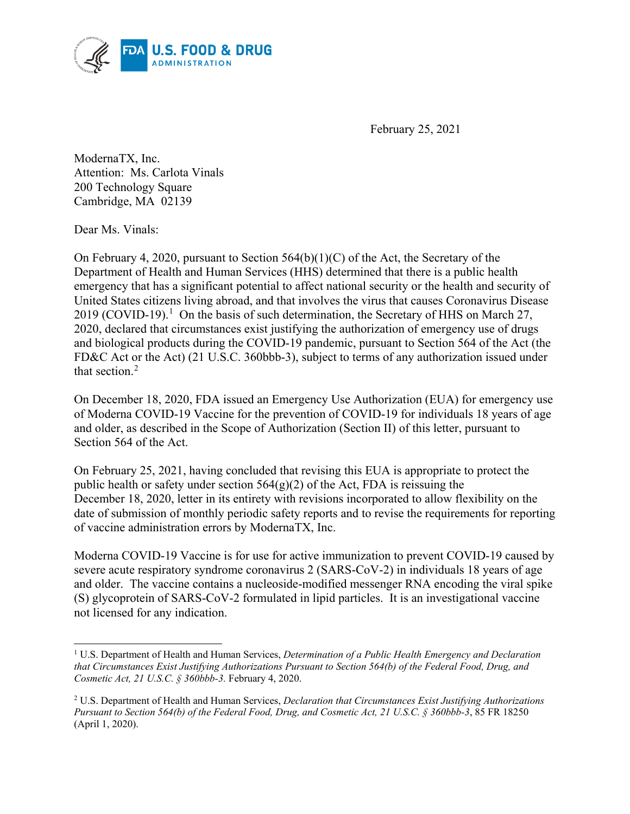

February 25, 2021

ModernaTX, Inc. Attention: Ms. Carlota Vinals 200 Technology Square Cambridge, MA 02139

Dear Ms. Vinals:

On February 4, 2020, pursuant to Section  $564(b)(1)(C)$  of the Act, the Secretary of the Department of Health and Human Services (HHS) determined that there is a public health emergency that has a significant potential to affect national security or the health and security of United States citizens living abroad, and that involves the virus that causes Coronavirus Disease 20[1](#page-0-0)9 (COVID-19).<sup>1</sup> On the basis of such determination, the Secretary of HHS on March 27, 2020, declared that circumstances exist justifying the authorization of emergency use of drugs and biological products during the COVID-19 pandemic, pursuant to Section 564 of the Act (the FD&C Act or the Act) (21 U.S.C. 360bbb-3), subject to terms of any authorization issued under that section.[2](#page-0-1)

On December 18, 2020, FDA issued an Emergency Use Authorization (EUA) for emergency use of Moderna COVID‑19 Vaccine for the prevention of COVID-19 for individuals 18 years of age and older, as described in the Scope of Authorization (Section II) of this letter, pursuant to Section 564 of the Act.

On February 25, 2021, having concluded that revising this EUA is appropriate to protect the public health or safety under section  $564(g)(2)$  of the Act, FDA is reissuing the December 18, 2020, letter in its entirety with revisions incorporated to allow flexibility on the date of submission of monthly periodic safety reports and to revise the requirements for reporting of vaccine administration errors by ModernaTX, Inc.

Moderna COVID‑19 Vaccine is for use for active immunization to prevent COVID-19 caused by severe acute respiratory syndrome coronavirus 2 (SARS-CoV-2) in individuals 18 years of age and older. The vaccine contains a nucleoside-modified messenger RNA encoding the viral spike (S) glycoprotein of SARS-CoV-2 formulated in lipid particles. It is an investigational vaccine not licensed for any indication.

<span id="page-0-0"></span> <sup>1</sup> U.S. Department of Health and Human Services, *Determination of a Public Health Emergency and Declaration that Circumstances Exist Justifying Authorizations Pursuant to Section 564(b) of the Federal Food, Drug, and Cosmetic Act, 21 U.S.C. § 360bbb-3.* February 4, 2020.

<span id="page-0-1"></span><sup>2</sup> U.S. Department of Health and Human Services, *Declaration that Circumstances Exist Justifying Authorizations Pursuant to Section 564(b) of the Federal Food, Drug, and Cosmetic Act, 21 U.S.C. § 360bbb-3*, 85 FR 18250 (April 1, 2020).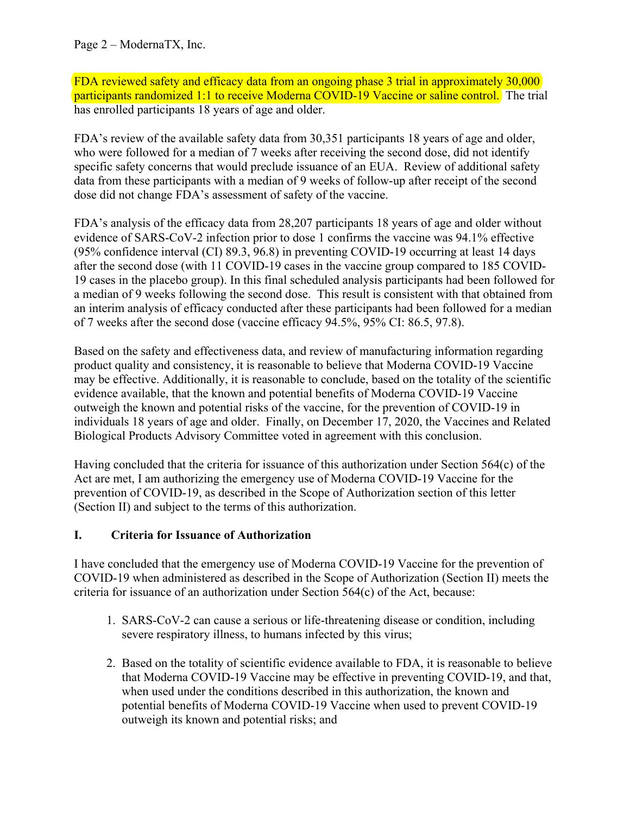FDA reviewed safety and efficacy data from an ongoing phase 3 trial in approximately 30,000 participants randomized 1:1 to receive Moderna COVID-19 Vaccine or saline control. The trial has enrolled participants 18 years of age and older.

FDA's review of the available safety data from 30,351 participants 18 years of age and older, who were followed for a median of 7 weeks after receiving the second dose, did not identify specific safety concerns that would preclude issuance of an EUA. Review of additional safety data from these participants with a median of 9 weeks of follow-up after receipt of the second dose did not change FDA's assessment of safety of the vaccine.

FDA's analysis of the efficacy data from 28,207 participants 18 years of age and older without evidence of SARS-CoV-2 infection prior to dose 1 confirms the vaccine was 94.1% effective (95% confidence interval (CI) 89.3, 96.8) in preventing COVID-19 occurring at least 14 days after the second dose (with 11 COVID-19 cases in the vaccine group compared to 185 COVID-19 cases in the placebo group). In this final scheduled analysis participants had been followed for a median of 9 weeks following the second dose. This result is consistent with that obtained from an interim analysis of efficacy conducted after these participants had been followed for a median of 7 weeks after the second dose (vaccine efficacy 94.5%, 95% CI: 86.5, 97.8).

Based on the safety and effectiveness data, and review of manufacturing information regarding product quality and consistency, it is reasonable to believe that Moderna COVID‑19 Vaccine may be effective. Additionally, it is reasonable to conclude, based on the totality of the scientific evidence available, that the known and potential benefits of Moderna COVID-19 Vaccine outweigh the known and potential risks of the vaccine, for the prevention of COVID-19 in individuals 18 years of age and older. Finally, on December 17, 2020, the Vaccines and Related Biological Products Advisory Committee voted in agreement with this conclusion.

Having concluded that the criteria for issuance of this authorization under Section 564(c) of the Act are met, I am authorizing the emergency use of Moderna COVID-19 Vaccine for the prevention of COVID-19, as described in the Scope of Authorization section of this letter (Section II) and subject to the terms of this authorization.

#### **I. Criteria for Issuance of Authorization**

I have concluded that the emergency use of Moderna COVID-19 Vaccine for the prevention of COVID-19 when administered as described in the Scope of Authorization (Section II) meets the criteria for issuance of an authorization under Section  $564(c)$  of the Act, because:

- 1. SARS-CoV-2 can cause a serious or life-threatening disease or condition, including severe respiratory illness, to humans infected by this virus;
- 2. Based on the totality of scientific evidence available to FDA, it is reasonable to believe that Moderna COVID‑19 Vaccine may be effective in preventing COVID-19, and that, when used under the conditions described in this authorization, the known and potential benefits of Moderna COVID‑19 Vaccine when used to prevent COVID-19 outweigh its known and potential risks; and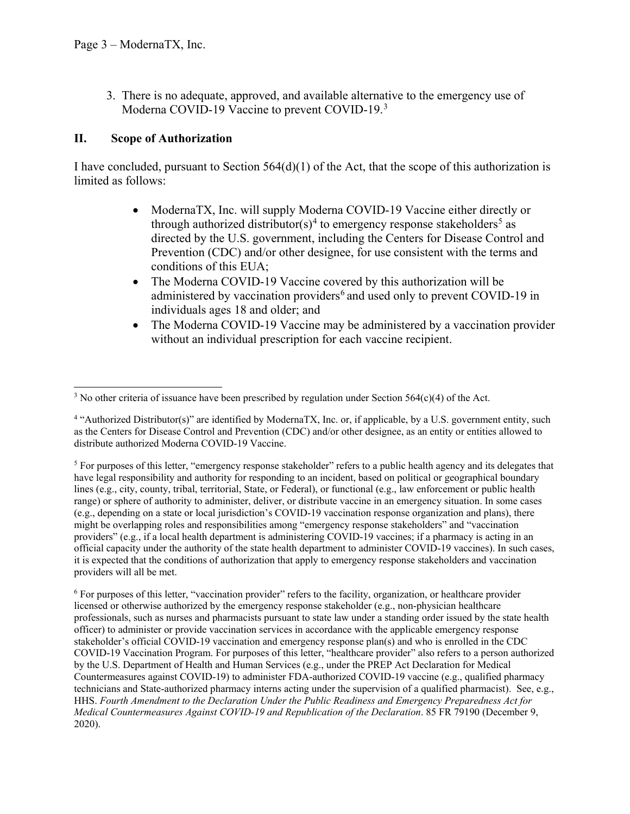3. There is no adequate, approved, and available alternative to the emergency use of Moderna COVID-19 Vaccine to prevent COVID-19.<sup>[3](#page-2-0)</sup>

### **II. Scope of Authorization**

I have concluded, pursuant to Section  $564(d)(1)$  of the Act, that the scope of this authorization is limited as follows:

- ModernaTX, Inc. will supply Moderna COVID-19 Vaccine either directly or through authorized distributor(s)<sup>[4](#page-2-1)</sup> to emergency response stakeholders<sup>[5](#page-2-2)</sup> as directed by the U.S. government, including the Centers for Disease Control and Prevention (CDC) and/or other designee, for use consistent with the terms and conditions of this EUA;
- The Moderna COVID-19 Vaccine covered by this authorization will be administered by vaccination providers<sup>[6](#page-2-3)</sup> and used only to prevent COVID-19 in individuals ages 18 and older; and
- The Moderna COVID-19 Vaccine may be administered by a vaccination provider without an individual prescription for each vaccine recipient.

<span id="page-2-0"></span><sup>&</sup>lt;sup>3</sup> No other criteria of issuance have been prescribed by regulation under Section 564(c)(4) of the Act.

<span id="page-2-1"></span><sup>4</sup> "Authorized Distributor(s)" are identified by ModernaTX, Inc. or, if applicable, by a U.S. government entity, such as the Centers for Disease Control and Prevention (CDC) and/or other designee, as an entity or entities allowed to distribute authorized Moderna COVID‑19 Vaccine.

<span id="page-2-2"></span> $<sup>5</sup>$  For purposes of this letter, "emergency response stakeholder" refers to a public health agency and its delegates that</sup> have legal responsibility and authority for responding to an incident, based on political or geographical boundary lines (e.g., city, county, tribal, territorial, State, or Federal), or functional (e.g., law enforcement or public health range) or sphere of authority to administer, deliver, or distribute vaccine in an emergency situation. In some cases (e.g., depending on a state or local jurisdiction's COVID-19 vaccination response organization and plans), there might be overlapping roles and responsibilities among "emergency response stakeholders" and "vaccination providers" (e.g., if a local health department is administering COVID-19 vaccines; if a pharmacy is acting in an official capacity under the authority of the state health department to administer COVID-19 vaccines). In such cases, it is expected that the conditions of authorization that apply to emergency response stakeholders and vaccination providers will all be met.

<span id="page-2-3"></span><sup>6</sup> For purposes of this letter, "vaccination provider" refers to the facility, organization, or healthcare provider licensed or otherwise authorized by the emergency response stakeholder (e.g., non-physician healthcare professionals, such as nurses and pharmacists pursuant to state law under a standing order issued by the state health officer) to administer or provide vaccination services in accordance with the applicable emergency response stakeholder's official COVID-19 vaccination and emergency response plan(s) and who is enrolled in the CDC COVID-19 Vaccination Program. For purposes of this letter, "healthcare provider" also refers to a person authorized by the U.S. Department of Health and Human Services (e.g., under the PREP Act Declaration for Medical Countermeasures against COVID-19) to administer FDA-authorized COVID-19 vaccine (e.g., qualified pharmacy technicians and State-authorized pharmacy interns acting under the supervision of a qualified pharmacist). See, e.g., HHS. *Fourth Amendment to the Declaration Under the Public Readiness and Emergency Preparedness Act for Medical Countermeasures Against COVID-19 and Republication of the Declaration*. 85 FR 79190 (December 9, 2020).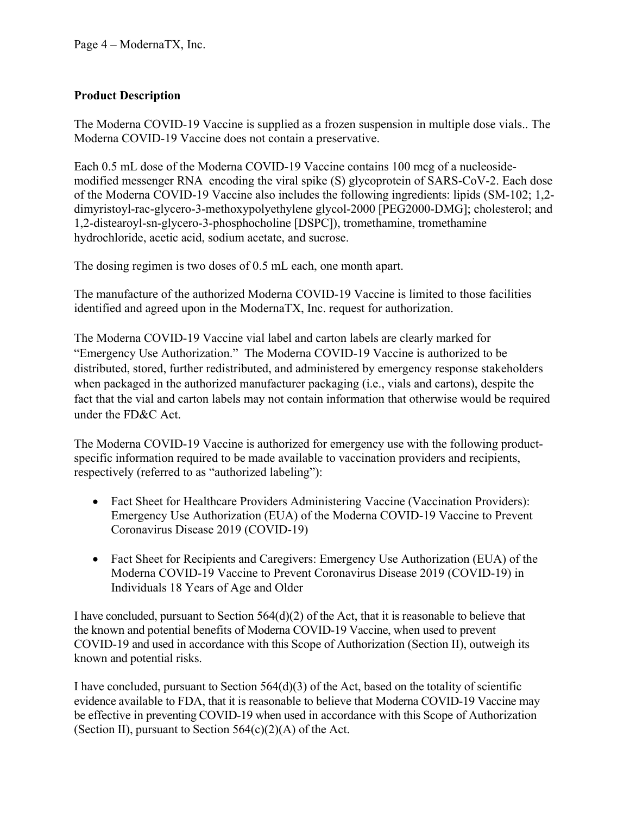# **Product Description**

The Moderna COVID-19 Vaccine is supplied as a frozen suspension in multiple dose vials.. The Moderna COVID-19 Vaccine does not contain a preservative.

Each 0.5 mL dose of the Moderna COVID-19 Vaccine contains 100 mcg of a nucleosidemodified messenger RNA encoding the viral spike (S) glycoprotein of SARS-CoV-2. Each dose of the Moderna COVID-19 Vaccine also includes the following ingredients: lipids (SM-102; 1,2 dimyristoyl-rac-glycero-3-methoxypolyethylene glycol-2000 [PEG2000-DMG]; cholesterol; and 1,2-distearoyl-sn-glycero-3-phosphocholine [DSPC]), tromethamine, tromethamine hydrochloride, acetic acid, sodium acetate, and sucrose.

The dosing regimen is two doses of 0.5 mL each, one month apart.

The manufacture of the authorized Moderna COVID-19 Vaccine is limited to those facilities identified and agreed upon in the ModernaTX, Inc. request for authorization.

The Moderna COVID-19 Vaccine vial label and carton labels are clearly marked for "Emergency Use Authorization." The Moderna COVID‑19 Vaccine is authorized to be distributed, stored, further redistributed, and administered by emergency response stakeholders when packaged in the authorized manufacturer packaging (i.e., vials and cartons), despite the fact that the vial and carton labels may not contain information that otherwise would be required under the FD&C Act.

The Moderna COVID-19 Vaccine is authorized for emergency use with the following productspecific information required to be made available to vaccination providers and recipients, respectively (referred to as "authorized labeling"):

- Fact Sheet for Healthcare Providers Administering Vaccine (Vaccination Providers): Emergency Use Authorization (EUA) of the Moderna COVID‑19 Vaccine to Prevent Coronavirus Disease 2019 (COVID-19)
- Fact Sheet for Recipients and Caregivers: Emergency Use Authorization (EUA) of the Moderna COVID‑19 Vaccine to Prevent Coronavirus Disease 2019 (COVID-19) in Individuals 18 Years of Age and Older

I have concluded, pursuant to Section 564(d)(2) of the Act, that it is reasonable to believe that the known and potential benefits of Moderna COVID-19 Vaccine, when used to prevent COVID-19 and used in accordance with this Scope of Authorization (Section II), outweigh its known and potential risks.

I have concluded, pursuant to Section  $564(d)(3)$  of the Act, based on the totality of scientific evidence available to FDA, that it is reasonable to believe that Moderna COVID-19 Vaccine may be effective in preventing COVID-19 when used in accordance with this Scope of Authorization (Section II), pursuant to Section  $564(c)(2)(A)$  of the Act.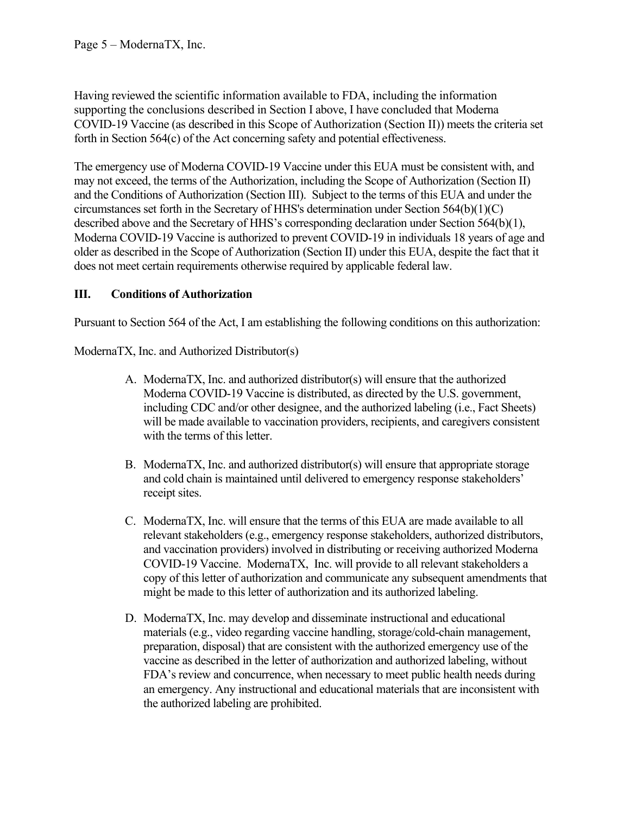Page 5 – ModernaTX, Inc.

Having reviewed the scientific information available to FDA, including the information supporting the conclusions described in Section I above, I have concluded that Moderna COVID‑19 Vaccine (as described in this Scope of Authorization (Section II)) meets the criteria set forth in Section 564(c) of the Act concerning safety and potential effectiveness.

The emergency use of Moderna COVID-19 Vaccine under this EUA must be consistent with, and may not exceed, the terms of the Authorization, including the Scope of Authorization (Section II) and the Conditions of Authorization (Section III). Subject to the terms of this EUA and under the circumstances set forth in the Secretary of HHS's determination under Section 564(b)(1)(C) described above and the Secretary of HHS's corresponding declaration under Section 564(b)(1), Moderna COVID‑19 Vaccine is authorized to prevent COVID-19 in individuals 18 years of age and older as described in the Scope of Authorization (Section II) under this EUA, despite the fact that it does not meet certain requirements otherwise required by applicable federal law.

## **III. Conditions of Authorization**

Pursuant to Section 564 of the Act, I am establishing the following conditions on this authorization:

ModernaTX, Inc. and Authorized Distributor(s)

- A. ModernaTX, Inc. and authorized distributor(s) will ensure that the authorized Moderna COVID-19 Vaccine is distributed, as directed by the U.S. government, including CDC and/or other designee, and the authorized labeling (i.e., Fact Sheets) will be made available to vaccination providers, recipients, and caregivers consistent with the terms of this letter.
- B. ModernaTX, Inc. and authorized distributor(s) will ensure that appropriate storage and cold chain is maintained until delivered to emergency response stakeholders' receipt sites.
- C. ModernaTX, Inc. will ensure that the terms of this EUA are made available to all relevant stakeholders (e.g., emergency response stakeholders, authorized distributors, and vaccination providers) involved in distributing or receiving authorized Moderna COVID‑19 Vaccine. ModernaTX, Inc. will provide to all relevant stakeholders a copy of this letter of authorization and communicate any subsequent amendments that might be made to this letter of authorization and its authorized labeling.
- D. ModernaTX, Inc. may develop and disseminate instructional and educational materials (e.g., video regarding vaccine handling, storage/cold-chain management, preparation, disposal) that are consistent with the authorized emergency use of the vaccine as described in the letter of authorization and authorized labeling, without FDA's review and concurrence, when necessary to meet public health needs during an emergency. Any instructional and educational materials that are inconsistent with the authorized labeling are prohibited.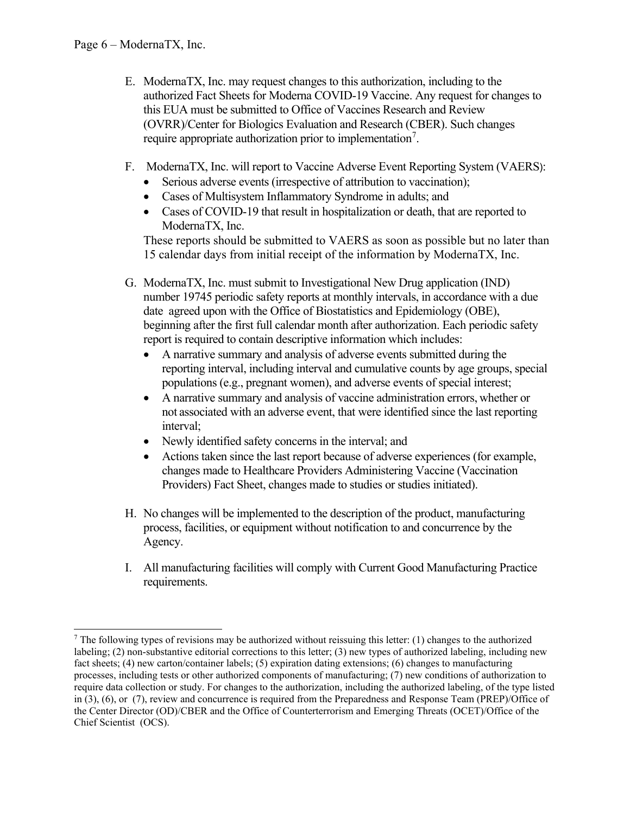- E. ModernaTX, Inc. may request changes to this authorization, including to the authorized Fact Sheets for Moderna COVID‑19 Vaccine. Any request for changes to this EUA must be submitted to Office of Vaccines Research and Review (OVRR)/Center for Biologics Evaluation and Research (CBER). Such changes require appropriate authorization prior to implementation<sup>[7](#page-5-0)</sup>.
- F. ModernaTX, Inc. will report to Vaccine Adverse Event Reporting System (VAERS):
	- Serious adverse events (irrespective of attribution to vaccination);
	- Cases of Multisystem Inflammatory Syndrome in adults; and
	- Cases of COVID-19 that result in hospitalization or death, that are reported to ModernaTX, Inc.

These reports should be submitted to VAERS as soon as possible but no later than 15 calendar days from initial receipt of the information by ModernaTX, Inc.

- G. ModernaTX, Inc. must submit to Investigational New Drug application (IND) number 19745 periodic safety reports at monthly intervals, in accordance with a due date agreed upon with the Office of Biostatistics and Epidemiology (OBE), beginning after the first full calendar month after authorization. Each periodic safety report is required to contain descriptive information which includes:
	- A narrative summary and analysis of adverse events submitted during the reporting interval, including interval and cumulative counts by age groups, special populations (e.g., pregnant women), and adverse events of special interest;
	- A narrative summary and analysis of vaccine administration errors, whether or not associated with an adverse event, that were identified since the last reporting interval;
	- Newly identified safety concerns in the interval; and
	- Actions taken since the last report because of adverse experiences (for example, changes made to Healthcare Providers Administering Vaccine (Vaccination Providers) Fact Sheet, changes made to studies or studies initiated).
- H. No changes will be implemented to the description of the product, manufacturing process, facilities, or equipment without notification to and concurrence by the Agency.
- I. All manufacturing facilities will comply with Current Good Manufacturing Practice requirements.

<span id="page-5-0"></span> $7$  The following types of revisions may be authorized without reissuing this letter: (1) changes to the authorized labeling; (2) non-substantive editorial corrections to this letter; (3) new types of authorized labeling, including new fact sheets; (4) new carton/container labels; (5) expiration dating extensions; (6) changes to manufacturing processes, including tests or other authorized components of manufacturing; (7) new conditions of authorization to require data collection or study. For changes to the authorization, including the authorized labeling, of the type listed in (3), (6), or (7), review and concurrence is required from the Preparedness and Response Team (PREP)/Office of the Center Director (OD)/CBER and the Office of Counterterrorism and Emerging Threats (OCET)/Office of the Chief Scientist (OCS).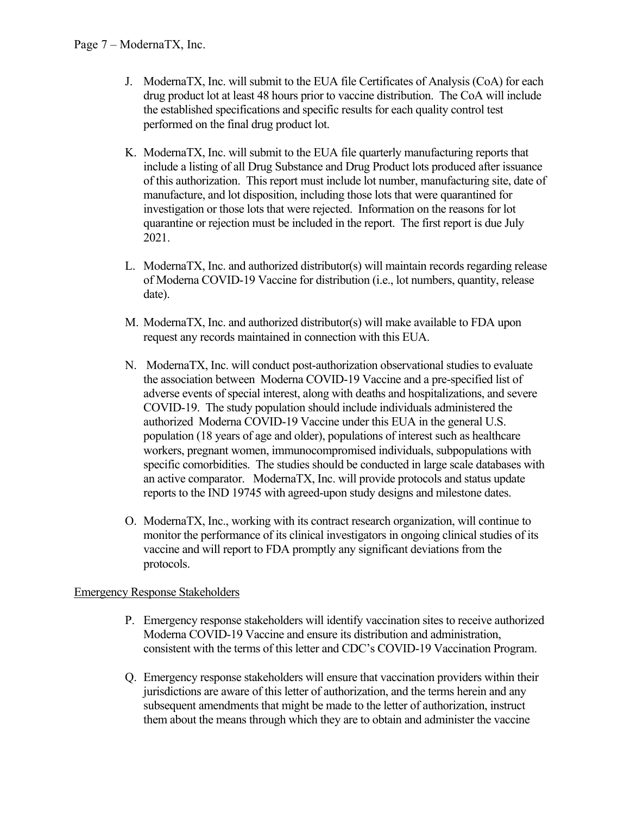- J. ModernaTX, Inc. will submit to the EUA file Certificates of Analysis (CoA) for each drug product lot at least 48 hours prior to vaccine distribution. The CoA will include the established specifications and specific results for each quality control test performed on the final drug product lot.
- K. ModernaTX, Inc. will submit to the EUA file quarterly manufacturing reports that include a listing of all Drug Substance and Drug Product lots produced after issuance of this authorization. This report must include lot number, manufacturing site, date of manufacture, and lot disposition, including those lots that were quarantined for investigation or those lots that were rejected. Information on the reasons for lot quarantine or rejection must be included in the report. The first report is due July 2021.
- L. ModernaTX, Inc. and authorized distributor(s) will maintain records regarding release of Moderna COVID‑19 Vaccine for distribution (i.e., lot numbers, quantity, release date).
- M. ModernaTX, Inc. and authorized distributor(s) will make available to FDA upon request any records maintained in connection with this EUA.
- N. ModernaTX, Inc. will conduct post-authorization observational studies to evaluate the association between Moderna COVID-19 Vaccine and a pre-specified list of adverse events of special interest, along with deaths and hospitalizations, and severe COVID-19. The study population should include individuals administered the authorized Moderna COVID-19 Vaccine under this EUA in the general U.S. population (18 years of age and older), populations of interest such as healthcare workers, pregnant women, immunocompromised individuals, subpopulations with specific comorbidities. The studies should be conducted in large scale databases with an active comparator. ModernaTX, Inc. will provide protocols and status update reports to the IND 19745 with agreed-upon study designs and milestone dates.
- O. ModernaTX, Inc., working with its contract research organization, will continue to monitor the performance of its clinical investigators in ongoing clinical studies of its vaccine and will report to FDA promptly any significant deviations from the protocols.

#### Emergency Response Stakeholders

- P. Emergency response stakeholders will identify vaccination sites to receive authorized Moderna COVID-19 Vaccine and ensure its distribution and administration, consistent with the terms of this letter and CDC's COVID-19 Vaccination Program.
- Q. Emergency response stakeholders will ensure that vaccination providers within their jurisdictions are aware of this letter of authorization, and the terms herein and any subsequent amendments that might be made to the letter of authorization, instruct them about the means through which they are to obtain and administer the vaccine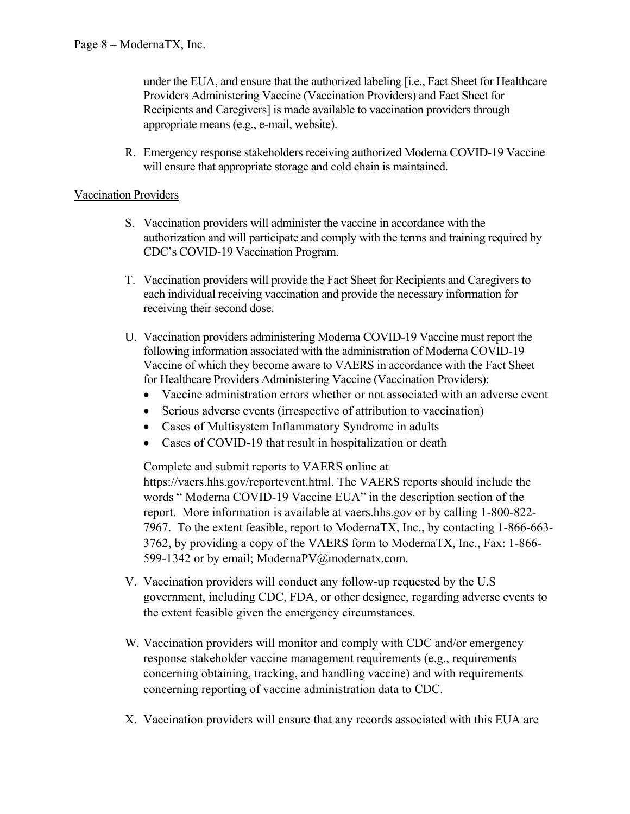under the EUA, and ensure that the authorized labeling [i.e., Fact Sheet for Healthcare Providers Administering Vaccine (Vaccination Providers) and Fact Sheet for Recipients and Caregivers] is made available to vaccination providers through appropriate means (e.g., e-mail, website).

R. Emergency response stakeholders receiving authorized Moderna COVID-19 Vaccine will ensure that appropriate storage and cold chain is maintained.

#### Vaccination Providers

- S. Vaccination providers will administer the vaccine in accordance with the authorization and will participate and comply with the terms and training required by CDC's COVID-19 Vaccination Program.
- T. Vaccination providers will provide the Fact Sheet for Recipients and Caregivers to each individual receiving vaccination and provide the necessary information for receiving their second dose.
- U. Vaccination providers administering Moderna COVID‑19 Vaccine must report the following information associated with the administration of Moderna COVID-19 Vaccine of which they become aware to VAERS in accordance with the Fact Sheet for Healthcare Providers Administering Vaccine (Vaccination Providers):
	- Vaccine administration errors whether or not associated with an adverse event
	- Serious adverse events (irrespective of attribution to vaccination)
	- Cases of Multisystem Inflammatory Syndrome in adults
	- Cases of COVID-19 that result in hospitalization or death

Complete and submit reports to VAERS online at

https://vaers.hhs.gov/reportevent.html. The VAERS reports should include the words " Moderna COVID-19 Vaccine EUA" in the description section of the report. More information is available at vaers.hhs.gov or by calling 1-800-822- 7967. To the extent feasible, report to ModernaTX, Inc., by contacting 1-866-663- 3762, by providing a copy of the VAERS form to ModernaTX, Inc., Fax: 1-866- 599-1342 or by email; ModernaPV@modernatx.com.

- V. Vaccination providers will conduct any follow-up requested by the U.S government, including CDC, FDA, or other designee, regarding adverse events to the extent feasible given the emergency circumstances.
- W. Vaccination providers will monitor and comply with CDC and/or emergency response stakeholder vaccine management requirements (e.g., requirements concerning obtaining, tracking, and handling vaccine) and with requirements concerning reporting of vaccine administration data to CDC.
- X. Vaccination providers will ensure that any records associated with this EUA are